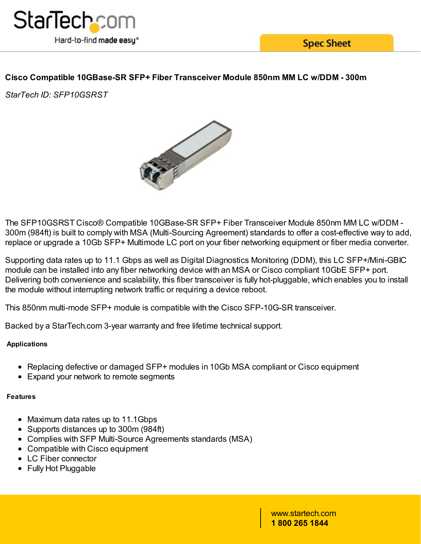

**Spec Sheet** 

# **Cisco Compatible 10GBase-SR SFP+ Fiber Transceiver Module 850nm MM LC w/DDM - 300m**

*StarTech ID: SFP10GSRST*



The SFP10GSRST Cisco® Compatible 10GBase-SR SFP+ Fiber Transceiver Module 850nm MM LC w/DDM - 300m (984ft) is built to comply with MSA (Multi-Sourcing Agreement) standards to offer a cost-effective way to add, replace or upgrade a 10Gb SFP+ Multimode LC port on your fiber networking equipment or fiber media converter.

Supporting data rates up to 11.1 Gbps as well as Digital Diagnostics Monitoring (DDM), this LC SFP+/Mini-GBIC module can be installed into any fiber networking device with an MSA or Cisco compliant 10GbE SFP+ port. Delivering both convenience and scalability, this fiber transceiver is fully hot-pluggable, which enables you to install the module without interrupting network traffic or requiring a device reboot.

This 850nm multi-mode SFP+ module is compatible with the Cisco SFP-10G-SR transceiver.

Backed by a StarTech.com 3-year warranty and free lifetime technical support.

# **Applications**

- Replacing defective or damaged SFP+ modules in 10Gb MSA compliant or Cisco equipment
- Expand your network to remote segments

#### **Features**

- Maximum data rates up to 11.1Gbps
- Supports distances up to 300m (984ft)
- Complies with SFP Multi-Source Agreements standards (MSA)
- Compatible with Cisco equipment
- LC Fiber connector
- Fully Hot Pluggable

www.startech.com **1 800 265 1844**